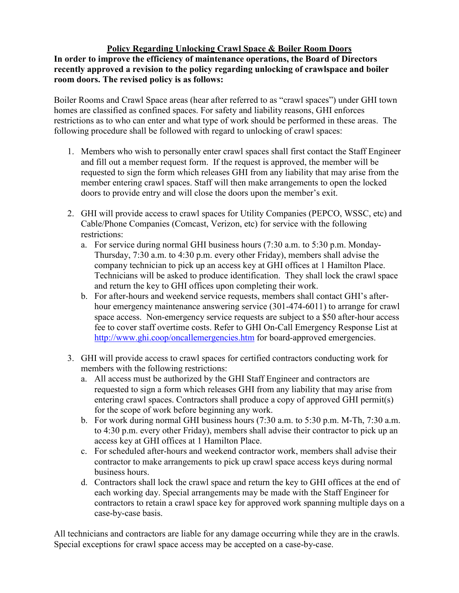## **Policy Regarding Unlocking Crawl Space & Boiler Room Doors**

**In order to improve the efficiency of maintenance operations, the Board of Directors recently approved a revision to the policy regarding unlocking of crawlspace and boiler room doors. The revised policy is as follows:** 

Boiler Rooms and Crawl Space areas (hear after referred to as "crawl spaces") under GHI town homes are classified as confined spaces. For safety and liability reasons, GHI enforces restrictions as to who can enter and what type of work should be performed in these areas. The following procedure shall be followed with regard to unlocking of crawl spaces:

- 1. Members who wish to personally enter crawl spaces shall first contact the Staff Engineer and fill out a member request form. If the request is approved, the member will be requested to sign the form which releases GHI from any liability that may arise from the member entering crawl spaces. Staff will then make arrangements to open the locked doors to provide entry and will close the doors upon the member's exit.
- 2. GHI will provide access to crawl spaces for Utility Companies (PEPCO, WSSC, etc) and Cable/Phone Companies (Comcast, Verizon, etc) for service with the following restrictions:
	- a. For service during normal GHI business hours (7:30 a.m. to 5:30 p.m. Monday-Thursday, 7:30 a.m. to 4:30 p.m. every other Friday), members shall advise the company technician to pick up an access key at GHI offices at 1 Hamilton Place. Technicians will be asked to produce identification. They shall lock the crawl space and return the key to GHI offices upon completing their work.
	- b. For after-hours and weekend service requests, members shall contact GHI's afterhour emergency maintenance answering service (301-474-6011) to arrange for crawl space access. Non-emergency service requests are subject to a \$50 after-hour access fee to cover staff overtime costs. Refer to GHI On-Call Emergency Response List at http://www.ghi.coop/oncallemergencies.htm for board-approved emergencies.
- 3. GHI will provide access to crawl spaces for certified contractors conducting work for members with the following restrictions:
	- a. All access must be authorized by the GHI Staff Engineer and contractors are requested to sign a form which releases GHI from any liability that may arise from entering crawl spaces. Contractors shall produce a copy of approved GHI permit(s) for the scope of work before beginning any work.
	- b. For work during normal GHI business hours (7:30 a.m. to 5:30 p.m. M-Th, 7:30 a.m. to 4:30 p.m. every other Friday), members shall advise their contractor to pick up an access key at GHI offices at 1 Hamilton Place.
	- c. For scheduled after-hours and weekend contractor work, members shall advise their contractor to make arrangements to pick up crawl space access keys during normal business hours.
	- d. Contractors shall lock the crawl space and return the key to GHI offices at the end of each working day. Special arrangements may be made with the Staff Engineer for contractors to retain a crawl space key for approved work spanning multiple days on a case-by-case basis.

All technicians and contractors are liable for any damage occurring while they are in the crawls. Special exceptions for crawl space access may be accepted on a case-by-case.